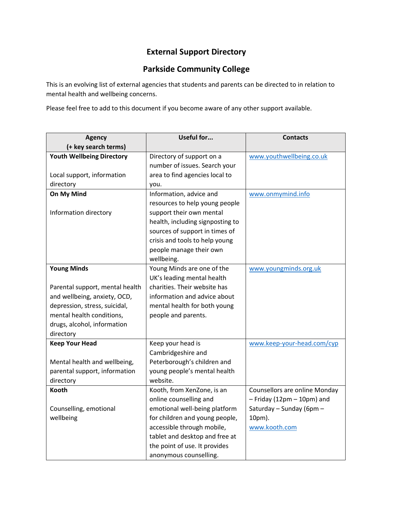## **External Support Directory**

## **Parkside Community College**

This is an evolving list of external agencies that students and parents can be directed to in relation to mental health and wellbeing concerns.

Please feel free to add to this document if you become aware of any other support available.

| <b>Agency</b>                    | Useful for                       | <b>Contacts</b>                |
|----------------------------------|----------------------------------|--------------------------------|
| (+ key search terms)             |                                  |                                |
| <b>Youth Wellbeing Directory</b> | Directory of support on a        | www.youthwellbeing.co.uk       |
|                                  | number of issues. Search your    |                                |
| Local support, information       | area to find agencies local to   |                                |
| directory                        | you.                             |                                |
| On My Mind                       | Information, advice and          | www.onmymind.info              |
|                                  | resources to help young people   |                                |
| Information directory            | support their own mental         |                                |
|                                  | health, including signposting to |                                |
|                                  | sources of support in times of   |                                |
|                                  | crisis and tools to help young   |                                |
|                                  | people manage their own          |                                |
|                                  | wellbeing.                       |                                |
| <b>Young Minds</b>               | Young Minds are one of the       | www.youngminds.org.uk          |
|                                  | UK's leading mental health       |                                |
| Parental support, mental health  | charities. Their website has     |                                |
| and wellbeing, anxiety, OCD,     | information and advice about     |                                |
| depression, stress, suicidal,    | mental health for both young     |                                |
| mental health conditions,        | people and parents.              |                                |
| drugs, alcohol, information      |                                  |                                |
| directory                        |                                  |                                |
| <b>Keep Your Head</b>            | Keep your head is                | www.keep-your-head.com/cyp     |
|                                  | Cambridgeshire and               |                                |
| Mental health and wellbeing,     | Peterborough's children and      |                                |
| parental support, information    | young people's mental health     |                                |
| directory                        | website.                         |                                |
| <b>Kooth</b>                     | Kooth, from XenZone, is an       | Counsellors are online Monday  |
|                                  | online counselling and           | $-$ Friday (12pm $-$ 10pm) and |
| Counselling, emotional           | emotional well-being platform    | Saturday - Sunday (6pm -       |
| wellbeing                        | for children and young people,   | 10pm).                         |
|                                  | accessible through mobile,       | www.kooth.com                  |
|                                  | tablet and desktop and free at   |                                |
|                                  | the point of use. It provides    |                                |
|                                  | anonymous counselling.           |                                |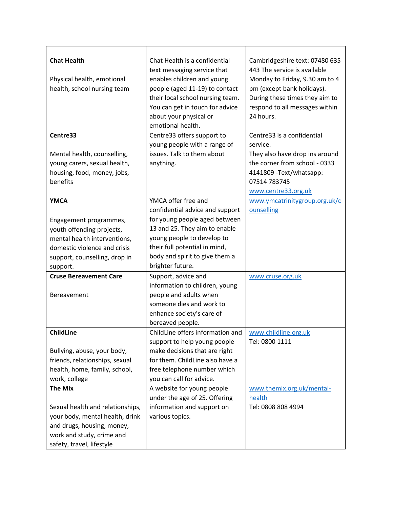| <b>Chat Health</b>               | Chat Health is a confidential    | Cambridgeshire text: 07480 635 |
|----------------------------------|----------------------------------|--------------------------------|
|                                  | text messaging service that      | 443 The service is available   |
| Physical health, emotional       | enables children and young       | Monday to Friday, 9.30 am to 4 |
| health, school nursing team      | people (aged 11-19) to contact   | pm (except bank holidays).     |
|                                  | their local school nursing team. | During these times they aim to |
|                                  | You can get in touch for advice  | respond to all messages within |
|                                  | about your physical or           | 24 hours.                      |
|                                  | emotional health.                |                                |
| Centre33                         | Centre33 offers support to       | Centre33 is a confidential     |
|                                  | young people with a range of     | service.                       |
| Mental health, counselling,      | issues. Talk to them about       | They also have drop ins around |
| young carers, sexual health,     | anything.                        | the corner from school - 0333  |
| housing, food, money, jobs,      |                                  | 4141809 - Text/whatsapp:       |
| benefits                         |                                  | 07514 783745                   |
|                                  |                                  | www.centre33.org.uk            |
| <b>YMCA</b>                      | YMCA offer free and              | www.ymcatrinitygroup.org.uk/c  |
|                                  | confidential advice and support  | ounselling                     |
| Engagement programmes,           | for young people aged between    |                                |
| youth offending projects,        | 13 and 25. They aim to enable    |                                |
| mental health interventions,     | young people to develop to       |                                |
| domestic violence and crisis     | their full potential in mind,    |                                |
| support, counselling, drop in    | body and spirit to give them a   |                                |
| support.                         | brighter future.                 |                                |
| <b>Cruse Bereavement Care</b>    | Support, advice and              | www.cruse.org.uk               |
|                                  | information to children, young   |                                |
| Bereavement                      | people and adults when           |                                |
|                                  | someone dies and work to         |                                |
|                                  | enhance society's care of        |                                |
|                                  | bereaved people.                 |                                |
| <b>ChildLine</b>                 | ChildLine offers information and | www.childline.org.uk           |
|                                  | support to help young people     | Tel: 0800 1111                 |
| Bullying, abuse, your body,      | make decisions that are right    |                                |
| friends, relationships, sexual   | for them. ChildLine also have a  |                                |
| health, home, family, school,    | free telephone number which      |                                |
| work, college                    | you can call for advice.         |                                |
| <b>The Mix</b>                   | A website for young people       | www.themix.org.uk/mental-      |
|                                  | under the age of 25. Offering    | health                         |
| Sexual health and relationships, | information and support on       | Tel: 0808 808 4994             |
| your body, mental health, drink  | various topics.                  |                                |
| and drugs, housing, money,       |                                  |                                |
| work and study, crime and        |                                  |                                |
| safety, travel, lifestyle        |                                  |                                |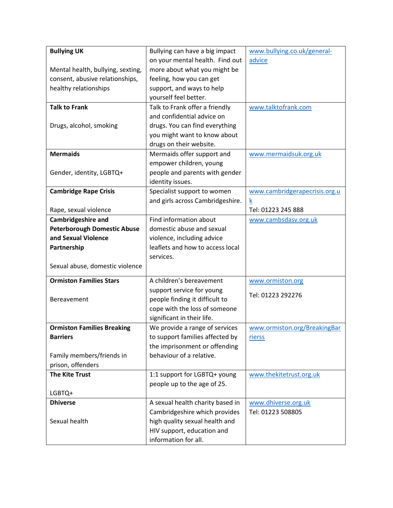| <b>Bullying UK</b>                 | Bullying can have a big impact   | www.bullying.co.uk/general-   |
|------------------------------------|----------------------------------|-------------------------------|
|                                    | on your mental health. Find out  | advice                        |
| Mental health, bullying, sexting,  | more about what you might be     |                               |
| consent, abusive relationships,    | feeling, how you can get         |                               |
| healthy relationships              | support, and ways to help        |                               |
|                                    | yourself feel better.            |                               |
| <b>Talk to Frank</b>               | Talk to Frank offer a friendly   | www.talktofrank.com           |
|                                    | and confidential advice on       |                               |
| Drugs, alcohol, smoking            | drugs. You can find everything   |                               |
|                                    | you might want to know about     |                               |
|                                    | drugs on their website.          |                               |
| <b>Mermaids</b>                    | Mermaids offer support and       | www.mermaidsuk.org.uk         |
|                                    | empower children, young          |                               |
| Gender, identity, LGBTQ+           | people and parents with gender   |                               |
|                                    | identity issues.                 |                               |
| <b>Cambridge Rape Crisis</b>       | Specialist support to women      | www.cambridgerapecrisis.org.u |
|                                    | and girls across Cambridgeshire. | k                             |
| Rape, sexual violence              |                                  | Tel: 01223 245 888            |
| <b>Cambridgeshire and</b>          | Find information about           | www.cambsdasv.org.uk          |
| <b>Peterborough Domestic Abuse</b> | domestic abuse and sexual        |                               |
| and Sexual Violence                | violence, including advice       |                               |
| Partnership                        | leaflets and how to access local |                               |
|                                    | services.                        |                               |
| Sexual abuse, domestic violence    |                                  |                               |
| <b>Ormiston Families Stars</b>     | A children's bereavement         | www.ormiston.org              |
|                                    | support service for young        |                               |
| Bereavement                        | people finding it difficult to   | Tel: 01223 292276             |
|                                    | cope with the loss of someone    |                               |
|                                    | significant in their life.       |                               |
| <b>Ormiston Families Breaking</b>  | We provide a range of services   | www.ormiston.org/BreakingBar  |
| <b>Barriers</b>                    | to support families affected by  | rierss                        |
|                                    | the imprisonment or offending    |                               |
| Family members/friends in          | behaviour of a relative.         |                               |
| prison, offenders                  |                                  |                               |
| <b>The Kite Trust</b>              | 1:1 support for LGBTQ+ young     | www.thekitetrust.org.uk       |
|                                    | people up to the age of 25.      |                               |
| LGBTQ+                             |                                  |                               |
| <b>Dhiverse</b>                    | A sexual health charity based in | www.dhiverse.org.uk           |
|                                    | Cambridgeshire which provides    | Tel: 01223 508805             |
| Sexual health                      | high quality sexual health and   |                               |
|                                    | HIV support, education and       |                               |
|                                    | information for all.             |                               |